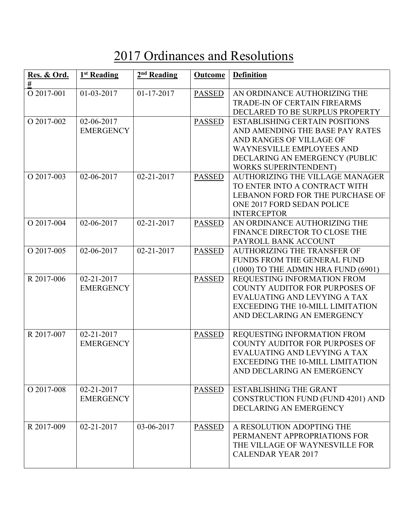## 2017 Ordinances and Resolutions

| Res. & Ord.<br>$\#$ | 1 <sup>st</sup> Reading        | $2nd$ Reading | <b>Outcome</b> | <b>Definition</b>                                                                                                                                                                                          |
|---------------------|--------------------------------|---------------|----------------|------------------------------------------------------------------------------------------------------------------------------------------------------------------------------------------------------------|
| O 2017-001          | 01-03-2017                     | 01-17-2017    | <b>PASSED</b>  | AN ORDINANCE AUTHORIZING THE<br>TRADE-IN OF CERTAIN FIREARMS<br>DECLARED TO BE SURPLUS PROPERTY                                                                                                            |
| O 2017-002          | 02-06-2017<br><b>EMERGENCY</b> |               | <b>PASSED</b>  | <b>ESTABLISHING CERTAIN POSITIONS</b><br>AND AMENDING THE BASE PAY RATES<br>AND RANGES OF VILLAGE OF<br><b>WAYNESVILLE EMPLOYEES AND</b><br>DECLARING AN EMERGENCY (PUBLIC<br><b>WORKS SUPERINTENDENT)</b> |
| O 2017-003          | 02-06-2017                     | 02-21-2017    | <b>PASSED</b>  | <b>AUTHORIZING THE VILLAGE MANAGER</b><br>TO ENTER INTO A CONTRACT WITH<br><b>LEBANON FORD FOR THE PURCHASE OF</b><br>ONE 2017 FORD SEDAN POLICE<br><b>INTERCEPTOR</b>                                     |
| O 2017-004          | 02-06-2017                     | 02-21-2017    | <b>PASSED</b>  | AN ORDINANCE AUTHORIZING THE<br>FINANCE DIRECTOR TO CLOSE THE<br>PAYROLL BANK ACCOUNT                                                                                                                      |
| O 2017-005          | $02 - 06 - 2017$               | 02-21-2017    | <b>PASSED</b>  | <b>AUTHORIZING THE TRANSFER OF</b><br>FUNDS FROM THE GENERAL FUND<br>(1000) TO THE ADMIN HRA FUND (6901)                                                                                                   |
| R 2017-006          | 02-21-2017<br><b>EMERGENCY</b> |               | <b>PASSED</b>  | REQUESTING INFORMATION FROM<br><b>COUNTY AUDITOR FOR PURPOSES OF</b><br>EVALUATING AND LEVYING A TAX<br><b>EXCEEDING THE 10-MILL LIMITATION</b><br>AND DECLARING AN EMERGENCY                              |
| R 2017-007          | 02-21-2017<br><b>EMERGENCY</b> |               | <b>PASSED</b>  | REQUESTING INFORMATION FROM<br><b>COUNTY AUDITOR FOR PURPOSES OF</b><br>EVALUATING AND LEVYING A TAX<br><b>EXCEEDING THE 10-MILL LIMITATION</b><br>AND DECLARING AN EMERGENCY                              |
| O 2017-008          | 02-21-2017<br><b>EMERGENCY</b> |               | <b>PASSED</b>  | <b>ESTABLISHING THE GRANT</b><br>CONSTRUCTION FUND (FUND 4201) AND<br>DECLARING AN EMERGENCY                                                                                                               |
| R 2017-009          | 02-21-2017                     | 03-06-2017    | <b>PASSED</b>  | A RESOLUTION ADOPTING THE<br>PERMANENT APPROPRIATIONS FOR<br>THE VILLAGE OF WAYNESVILLE FOR<br><b>CALENDAR YEAR 2017</b>                                                                                   |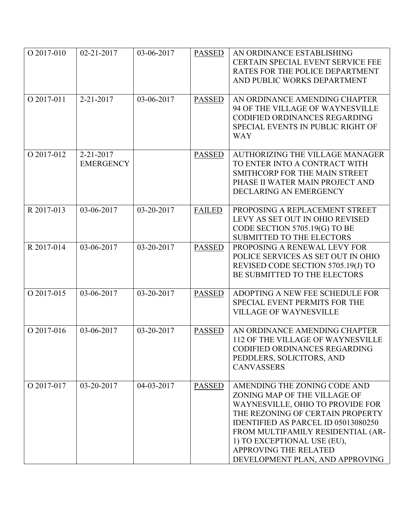| O 2017-010 | 02-21-2017                    | 03-06-2017 | <b>PASSED</b> | AN ORDINANCE ESTABLISHING<br><b>CERTAIN SPECIAL EVENT SERVICE FEE</b><br>RATES FOR THE POLICE DEPARTMENT<br>AND PUBLIC WORKS DEPARTMENT                                                                                                                                                                     |
|------------|-------------------------------|------------|---------------|-------------------------------------------------------------------------------------------------------------------------------------------------------------------------------------------------------------------------------------------------------------------------------------------------------------|
| O 2017-011 | $2 - 21 - 2017$               | 03-06-2017 | <b>PASSED</b> | AN ORDINANCE AMENDING CHAPTER<br>94 OF THE VILLAGE OF WAYNESVILLE<br><b>CODIFIED ORDINANCES REGARDING</b><br>SPECIAL EVENTS IN PUBLIC RIGHT OF<br><b>WAY</b>                                                                                                                                                |
| O 2017-012 | 2-21-2017<br><b>EMERGENCY</b> |            | <b>PASSED</b> | AUTHORIZING THE VILLAGE MANAGER<br>TO ENTER INTO A CONTRACT WITH<br>SMITHCORP FOR THE MAIN STREET<br>PHASE II WATER MAIN PROJECT AND<br>DECLARING AN EMERGENCY                                                                                                                                              |
| R 2017-013 | 03-06-2017                    | 03-20-2017 | <b>FAILED</b> | PROPOSING A REPLACEMENT STREET<br>LEVY AS SET OUT IN OHIO REVISED<br>CODE SECTION 5705.19(G) TO BE<br><b>SUBMITTED TO THE ELECTORS</b>                                                                                                                                                                      |
| R 2017-014 | 03-06-2017                    | 03-20-2017 | <b>PASSED</b> | PROPOSING A RENEWAL LEVY FOR<br>POLICE SERVICES AS SET OUT IN OHIO<br>REVISED CODE SECTION 5705.19(J) TO<br>BE SUBMITTED TO THE ELECTORS                                                                                                                                                                    |
| O 2017-015 | 03-06-2017                    | 03-20-2017 | <b>PASSED</b> | ADOPTING A NEW FEE SCHEDULE FOR<br>SPECIAL EVENT PERMITS FOR THE<br><b>VILLAGE OF WAYNESVILLE</b>                                                                                                                                                                                                           |
| O 2017-016 | 03-06-2017                    | 03-20-2017 | <b>PASSED</b> | AN ORDINANCE AMENDING CHAPTER<br>112 OF THE VILLAGE OF WAYNESVILLE<br>CODIFIED ORDINANCES REGARDING<br>PEDDLERS, SOLICITORS, AND<br><b>CANVASSERS</b>                                                                                                                                                       |
| O 2017-017 | 03-20-2017                    | 04-03-2017 | <b>PASSED</b> | AMENDING THE ZONING CODE AND<br>ZONING MAP OF THE VILLAGE OF<br>WAYNESVILLE, OHIO TO PROVIDE FOR<br>THE REZONING OF CERTAIN PROPERTY<br>IDENTIFIED AS PARCEL ID 05013080250<br>FROM MULTIFAMILY RESIDENTIAL (AR-<br>1) TO EXCEPTIONAL USE (EU),<br>APPROVING THE RELATED<br>DEVELOPMENT PLAN, AND APPROVING |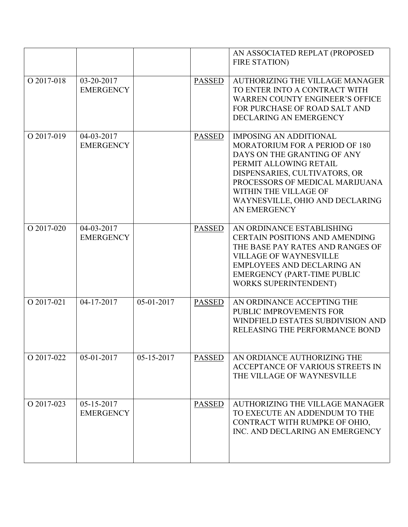|            |                                |            |               | AN ASSOCIATED REPLAT (PROPOSED<br><b>FIRE STATION)</b>                                                                                                                                                                                                                          |
|------------|--------------------------------|------------|---------------|---------------------------------------------------------------------------------------------------------------------------------------------------------------------------------------------------------------------------------------------------------------------------------|
| O 2017-018 | 03-20-2017<br><b>EMERGENCY</b> |            | <b>PASSED</b> | AUTHORIZING THE VILLAGE MANAGER<br>TO ENTER INTO A CONTRACT WITH<br><b>WARREN COUNTY ENGINEER'S OFFICE</b><br>FOR PURCHASE OF ROAD SALT AND<br>DECLARING AN EMERGENCY                                                                                                           |
| O 2017-019 | 04-03-2017<br><b>EMERGENCY</b> |            | <b>PASSED</b> | <b>IMPOSING AN ADDITIONAL</b><br><b>MORATORIUM FOR A PERIOD OF 180</b><br>DAYS ON THE GRANTING OF ANY<br>PERMIT ALLOWING RETAIL<br>DISPENSARIES, CULTIVATORS, OR<br>PROCESSORS OF MEDICAL MARIJUANA<br>WITHIN THE VILLAGE OF<br>WAYNESVILLE, OHIO AND DECLARING<br>AN EMERGENCY |
| O 2017-020 | 04-03-2017<br><b>EMERGENCY</b> |            | <b>PASSED</b> | AN ORDINANCE ESTABLISHING<br><b>CERTAIN POSITIONS AND AMENDING</b><br>THE BASE PAY RATES AND RANGES OF<br><b>VILLAGE OF WAYNESVILLE</b><br><b>EMPLOYEES AND DECLARING AN</b><br><b>EMERGENCY (PART-TIME PUBLIC</b><br><b>WORKS SUPERINTENDENT)</b>                              |
| O 2017-021 | 04-17-2017                     | 05-01-2017 | <b>PASSED</b> | AN ORDINANCE ACCEPTING THE<br>PUBLIC IMPROVEMENTS FOR<br>WINDFIELD ESTATES SUBDIVISION AND<br>RELEASING THE PERFORMANCE BOND                                                                                                                                                    |
| O 2017-022 | 05-01-2017                     | 05-15-2017 | <b>PASSED</b> | AN ORDIANCE AUTHORIZING THE<br>ACCEPTANCE OF VARIOUS STREETS IN<br>THE VILLAGE OF WAYNESVILLE                                                                                                                                                                                   |
| O 2017-023 | 05-15-2017<br><b>EMERGENCY</b> |            | <b>PASSED</b> | <b>AUTHORIZING THE VILLAGE MANAGER</b><br>TO EXECUTE AN ADDENDUM TO THE<br>CONTRACT WITH RUMPKE OF OHIO,<br>INC. AND DECLARING AN EMERGENCY                                                                                                                                     |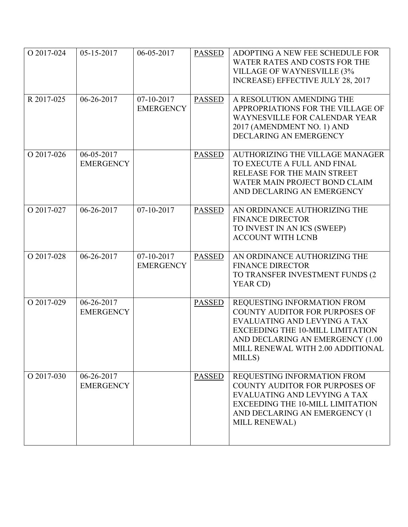| O 2017-024 | 05-15-2017                                   | 06-05-2017                     | <b>PASSED</b> | ADOPTING A NEW FEE SCHEDULE FOR<br>WATER RATES AND COSTS FOR THE<br><b>VILLAGE OF WAYNESVILLE (3%</b><br>INCREASE) EFFECTIVE JULY 28, 2017                                                                                         |
|------------|----------------------------------------------|--------------------------------|---------------|------------------------------------------------------------------------------------------------------------------------------------------------------------------------------------------------------------------------------------|
| R 2017-025 | 06-26-2017                                   | 07-10-2017<br><b>EMERGENCY</b> | <b>PASSED</b> | A RESOLUTION AMENDING THE<br>APPROPRIATIONS FOR THE VILLAGE OF<br>WAYNESVILLE FOR CALENDAR YEAR<br>2017 (AMENDMENT NO. 1) AND<br>DECLARING AN EMERGENCY                                                                            |
| O 2017-026 | 06-05-2017<br><b>EMERGENCY</b>               |                                | <b>PASSED</b> | AUTHORIZING THE VILLAGE MANAGER<br>TO EXECUTE A FULL AND FINAL<br>RELEASE FOR THE MAIN STREET<br>WATER MAIN PROJECT BOND CLAIM<br>AND DECLARING AN EMERGENCY                                                                       |
| O 2017-027 | 06-26-2017                                   | $07-10-2017$                   | <b>PASSED</b> | AN ORDINANCE AUTHORIZING THE<br><b>FINANCE DIRECTOR</b><br>TO INVEST IN AN ICS (SWEEP)<br><b>ACCOUNT WITH LCNB</b>                                                                                                                 |
| O 2017-028 | 06-26-2017                                   | 07-10-2017<br><b>EMERGENCY</b> | <b>PASSED</b> | AN ORDINANCE AUTHORIZING THE<br><b>FINANCE DIRECTOR</b><br>TO TRANSFER INVESTMENT FUNDS (2<br>YEAR CD)                                                                                                                             |
| O 2017-029 | $\overline{06}$ -26-2017<br><b>EMERGENCY</b> |                                | <b>PASSED</b> | REQUESTING INFORMATION FROM<br><b>COUNTY AUDITOR FOR PURPOSES OF</b><br>EVALUATING AND LEVYING A TAX<br><b>EXCEEDING THE 10-MILL LIMITATION</b><br>AND DECLARING AN EMERGENCY (1.00<br>MILL RENEWAL WITH 2.00 ADDITIONAL<br>MILLS) |
| O 2017-030 | 06-26-2017<br><b>EMERGENCY</b>               |                                | <b>PASSED</b> | REQUESTING INFORMATION FROM<br><b>COUNTY AUDITOR FOR PURPOSES OF</b><br>EVALUATING AND LEVYING A TAX<br><b>EXCEEDING THE 10-MILL LIMITATION</b><br>AND DECLARING AN EMERGENCY (1<br>MILL RENEWAL)                                  |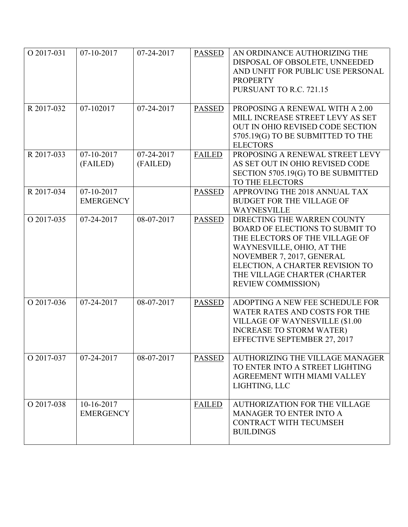| O 2017-031 | $07-10-2017$                   | 07-24-2017             | <b>PASSED</b> | AN ORDINANCE AUTHORIZING THE<br>DISPOSAL OF OBSOLETE, UNNEEDED<br>AND UNFIT FOR PUBLIC USE PERSONAL<br><b>PROPERTY</b><br>PURSUANT TO R.C. 721.15                                                                                                          |
|------------|--------------------------------|------------------------|---------------|------------------------------------------------------------------------------------------------------------------------------------------------------------------------------------------------------------------------------------------------------------|
| R 2017-032 | 07-102017                      | 07-24-2017             | <b>PASSED</b> | PROPOSING A RENEWAL WITH A 2.00<br>MILL INCREASE STREET LEVY AS SET<br>OUT IN OHIO REVISED CODE SECTION<br>5705.19(G) TO BE SUBMITTED TO THE<br><b>ELECTORS</b>                                                                                            |
| R 2017-033 | 07-10-2017<br>(FAILED)         | 07-24-2017<br>(FAILED) | <b>FAILED</b> | PROPOSING A RENEWAL STREET LEVY<br>AS SET OUT IN OHIO REVISED CODE<br>SECTION 5705.19(G) TO BE SUBMITTED<br>TO THE ELECTORS                                                                                                                                |
| R 2017-034 | 07-10-2017<br><b>EMERGENCY</b> |                        | <b>PASSED</b> | APPROVING THE 2018 ANNUAL TAX<br><b>BUDGET FOR THE VILLAGE OF</b><br><b>WAYNESVILLE</b>                                                                                                                                                                    |
| O 2017-035 | 07-24-2017                     | 08-07-2017             | <b>PASSED</b> | DIRECTING THE WARREN COUNTY<br><b>BOARD OF ELECTIONS TO SUBMIT TO</b><br>THE ELECTORS OF THE VILLAGE OF<br>WAYNESVILLE, OHIO, AT THE<br>NOVEMBER 7, 2017, GENERAL<br>ELECTION, A CHARTER REVISION TO<br>THE VILLAGE CHARTER (CHARTER<br>REVIEW COMMISSION) |
| O 2017-036 | 07-24-2017                     | 08-07-2017             | <b>PASSED</b> | ADOPTING A NEW FEE SCHEDULE FOR<br>WATER RATES AND COSTS FOR THE<br><b>VILLAGE OF WAYNESVILLE (\$1.00</b><br><b>INCREASE TO STORM WATER)</b><br>EFFECTIVE SEPTEMBER 27, 2017                                                                               |
| O 2017-037 | 07-24-2017                     | 08-07-2017             | <b>PASSED</b> | AUTHORIZING THE VILLAGE MANAGER<br>TO ENTER INTO A STREET LIGHTING<br>AGREEMENT WITH MIAMI VALLEY<br>LIGHTING, LLC                                                                                                                                         |
| O 2017-038 | 10-16-2017<br><b>EMERGENCY</b> |                        | <b>FAILED</b> | <b>AUTHORIZATION FOR THE VILLAGE</b><br><b>MANAGER TO ENTER INTO A</b><br>CONTRACT WITH TECUMSEH<br><b>BUILDINGS</b>                                                                                                                                       |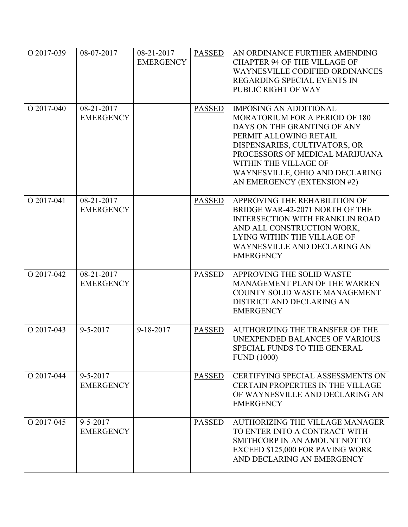| O 2017-039 | 08-07-2017                         | 08-21-2017<br><b>EMERGENCY</b> | <b>PASSED</b> | AN ORDINANCE FURTHER AMENDING<br><b>CHAPTER 94 OF THE VILLAGE OF</b><br><b>WAYNESVILLE CODIFIED ORDINANCES</b><br>REGARDING SPECIAL EVENTS IN<br>PUBLIC RIGHT OF WAY                                                                                                                           |
|------------|------------------------------------|--------------------------------|---------------|------------------------------------------------------------------------------------------------------------------------------------------------------------------------------------------------------------------------------------------------------------------------------------------------|
| O 2017-040 | 08-21-2017<br><b>EMERGENCY</b>     |                                | <b>PASSED</b> | <b>IMPOSING AN ADDITIONAL</b><br><b>MORATORIUM FOR A PERIOD OF 180</b><br>DAYS ON THE GRANTING OF ANY<br>PERMIT ALLOWING RETAIL<br>DISPENSARIES, CULTIVATORS, OR<br>PROCESSORS OF MEDICAL MARIJUANA<br>WITHIN THE VILLAGE OF<br>WAYNESVILLE, OHIO AND DECLARING<br>AN EMERGENCY (EXTENSION #2) |
| O 2017-041 | 08-21-2017<br><b>EMERGENCY</b>     |                                | <b>PASSED</b> | APPROVING THE REHABILITION OF<br>BRIDGE WAR-42-2071 NORTH OF THE<br><b>INTERSECTION WITH FRANKLIN ROAD</b><br>AND ALL CONSTRUCTION WORK,<br>LYING WITHIN THE VILLAGE OF<br>WAYNESVILLE AND DECLARING AN<br><b>EMERGENCY</b>                                                                    |
| O 2017-042 | 08-21-2017<br><b>EMERGENCY</b>     |                                | <b>PASSED</b> | APPROVING THE SOLID WASTE<br>MANAGEMENT PLAN OF THE WARREN<br>COUNTY SOLID WASTE MANAGEMENT<br>DISTRICT AND DECLARING AN<br><b>EMERGENCY</b>                                                                                                                                                   |
| O 2017-043 | $9 - 5 - 2017$                     | $9 - 18 - 2017$                | <b>PASSED</b> | AUTHORIZING THE TRANSFER OF THE<br><b>UNEXPENDED BALANCES OF VARIOUS</b><br>SPECIAL FUNDS TO THE GENERAL<br><b>FUND</b> (1000)                                                                                                                                                                 |
| O 2017-044 | $9 - 5 - 2017$<br><b>EMERGENCY</b> |                                | <b>PASSED</b> | CERTIFYING SPECIAL ASSESSMENTS ON<br>CERTAIN PROPERTIES IN THE VILLAGE<br>OF WAYNESVILLE AND DECLARING AN<br><b>EMERGENCY</b>                                                                                                                                                                  |
| O 2017-045 | $9 - 5 - 2017$<br><b>EMERGENCY</b> |                                | <b>PASSED</b> | AUTHORIZING THE VILLAGE MANAGER<br>TO ENTER INTO A CONTRACT WITH<br>SMITHCORP IN AN AMOUNT NOT TO<br>EXCEED \$125,000 FOR PAVING WORK<br>AND DECLARING AN EMERGENCY                                                                                                                            |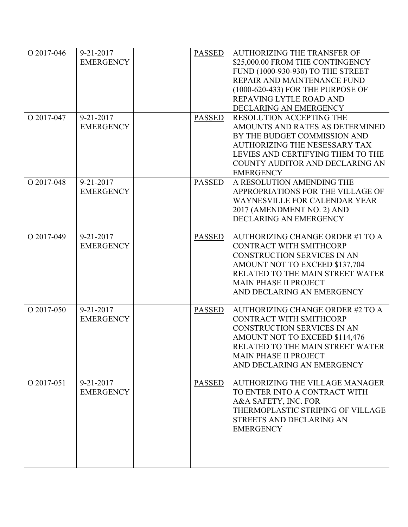| O 2017-046<br>O 2017-047 | $9 - 21 - 2017$<br><b>EMERGENCY</b><br>$9 - 21 - 2017$<br><b>EMERGENCY</b> | <b>PASSED</b><br><b>PASSED</b> | <b>AUTHORIZING THE TRANSFER OF</b><br>\$25,000.00 FROM THE CONTINGENCY<br>FUND (1000-930-930) TO THE STREET<br>REPAIR AND MAINTENANCE FUND<br>(1000-620-433) FOR THE PURPOSE OF<br>REPAVING LYTLE ROAD AND<br>DECLARING AN EMERGENCY<br>RESOLUTION ACCEPTING THE<br>AMOUNTS AND RATES AS DETERMINED |
|--------------------------|----------------------------------------------------------------------------|--------------------------------|-----------------------------------------------------------------------------------------------------------------------------------------------------------------------------------------------------------------------------------------------------------------------------------------------------|
|                          |                                                                            |                                | BY THE BUDGET COMMISSION AND<br>AUTHORIZING THE NESESSARY TAX<br>LEVIES AND CERTIFYING THEM TO THE<br>COUNTY AUDITOR AND DECLARING AN<br><b>EMERGENCY</b>                                                                                                                                           |
| O 2017-048               | $9 - 21 - 2017$<br><b>EMERGENCY</b>                                        | <b>PASSED</b>                  | A RESOLUTION AMENDING THE<br>APPROPRIATIONS FOR THE VILLAGE OF<br>WAYNESVILLE FOR CALENDAR YEAR<br>2017 (AMENDMENT NO. 2) AND<br>DECLARING AN EMERGENCY                                                                                                                                             |
| O 2017-049               | $9 - 21 - 2017$<br><b>EMERGENCY</b>                                        | <b>PASSED</b>                  | AUTHORIZING CHANGE ORDER #1 TO A<br>CONTRACT WITH SMITHCORP<br>CONSTRUCTION SERVICES IN AN<br>AMOUNT NOT TO EXCEED \$137,704<br>RELATED TO THE MAIN STREET WATER<br><b>MAIN PHASE II PROJECT</b><br>AND DECLARING AN EMERGENCY                                                                      |
| O 2017-050               | $9 - 21 - 2017$<br><b>EMERGENCY</b>                                        | <b>PASSED</b>                  | AUTHORIZING CHANGE ORDER #2 TO A<br>CONTRACT WITH SMITHCORP<br>CONSTRUCTION SERVICES IN AN<br>AMOUNT NOT TO EXCEED \$114,476<br>RELATED TO THE MAIN STREET WATER<br><b>MAIN PHASE II PROJECT</b><br>AND DECLARING AN EMERGENCY                                                                      |
| O 2017-051               | $9 - 21 - 2017$<br><b>EMERGENCY</b>                                        | <b>PASSED</b>                  | AUTHORIZING THE VILLAGE MANAGER<br>TO ENTER INTO A CONTRACT WITH<br>A&A SAFETY, INC. FOR<br>THERMOPLASTIC STRIPING OF VILLAGE<br>STREETS AND DECLARING AN<br><b>EMERGENCY</b>                                                                                                                       |
|                          |                                                                            |                                |                                                                                                                                                                                                                                                                                                     |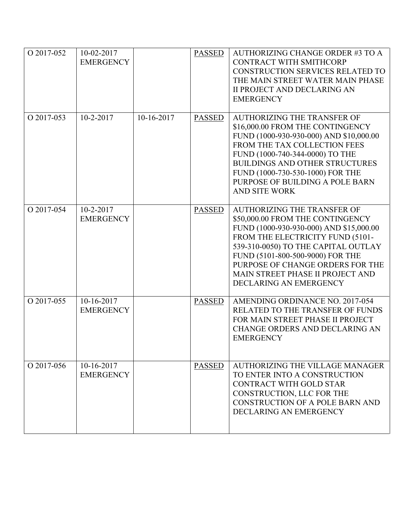| O 2017-052 | 10-02-2017<br><b>EMERGENCY</b> |            | <b>PASSED</b> | AUTHORIZING CHANGE ORDER #3 TO A<br>CONTRACT WITH SMITHCORP<br><b>CONSTRUCTION SERVICES RELATED TO</b><br>THE MAIN STREET WATER MAIN PHASE<br><b>II PROJECT AND DECLARING AN</b><br><b>EMERGENCY</b>                                                                                                                               |
|------------|--------------------------------|------------|---------------|------------------------------------------------------------------------------------------------------------------------------------------------------------------------------------------------------------------------------------------------------------------------------------------------------------------------------------|
| O 2017-053 | $10 - 2 - 2017$                | 10-16-2017 | <b>PASSED</b> | <b>AUTHORIZING THE TRANSFER OF</b><br>\$16,000.00 FROM THE CONTINGENCY<br>FUND (1000-930-930-000) AND \$10,000.00<br>FROM THE TAX COLLECTION FEES<br>FUND (1000-740-344-0000) TO THE<br><b>BUILDINGS AND OTHER STRUCTURES</b><br>FUND (1000-730-530-1000) FOR THE<br>PURPOSE OF BUILDING A POLE BARN<br><b>AND SITE WORK</b>       |
| O 2017-054 | 10-2-2017<br><b>EMERGENCY</b>  |            | <b>PASSED</b> | <b>AUTHORIZING THE TRANSFER OF</b><br>\$50,000.00 FROM THE CONTINGENCY<br>FUND (1000-930-930-000) AND \$15,000.00<br>FROM THE ELECTRICITY FUND (5101-<br>539-310-0050) TO THE CAPITAL OUTLAY<br>FUND (5101-800-500-9000) FOR THE<br>PURPOSE OF CHANGE ORDERS FOR THE<br>MAIN STREET PHASE II PROJECT AND<br>DECLARING AN EMERGENCY |
| O 2017-055 | 10-16-2017<br><b>EMERGENCY</b> |            | <b>PASSED</b> | AMENDING ORDINANCE NO. 2017-054<br><b>RELATED TO THE TRANSFER OF FUNDS</b><br>FOR MAIN STREET PHASE II PROJECT<br><b>CHANGE ORDERS AND DECLARING AN</b><br><b>EMERGENCY</b>                                                                                                                                                        |
| O 2017-056 | 10-16-2017<br><b>EMERGENCY</b> |            | <b>PASSED</b> | <b>AUTHORIZING THE VILLAGE MANAGER</b><br>TO ENTER INTO A CONSTRUCTION<br>CONTRACT WITH GOLD STAR<br>CONSTRUCTION, LLC FOR THE<br><b>CONSTRUCTION OF A POLE BARN AND</b><br>DECLARING AN EMERGENCY                                                                                                                                 |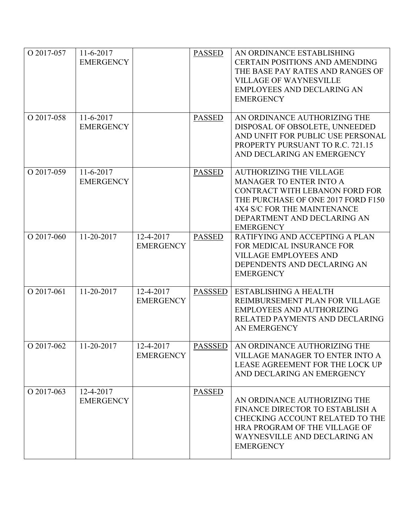| O 2017-057 | $11-6-2017$<br><b>EMERGENCY</b> |                               | <b>PASSED</b>  | AN ORDINANCE ESTABLISHING<br><b>CERTAIN POSITIONS AND AMENDING</b><br>THE BASE PAY RATES AND RANGES OF<br><b>VILLAGE OF WAYNESVILLE</b><br><b>EMPLOYEES AND DECLARING AN</b><br><b>EMERGENCY</b>                           |
|------------|---------------------------------|-------------------------------|----------------|----------------------------------------------------------------------------------------------------------------------------------------------------------------------------------------------------------------------------|
| O 2017-058 | $11-6-2017$<br><b>EMERGENCY</b> |                               | <b>PASSED</b>  | AN ORDINANCE AUTHORIZING THE<br>DISPOSAL OF OBSOLETE, UNNEEDED<br>AND UNFIT FOR PUBLIC USE PERSONAL<br>PROPERTY PURSUANT TO R.C. 721.15<br>AND DECLARING AN EMERGENCY                                                      |
| O 2017-059 | 11-6-2017<br><b>EMERGENCY</b>   |                               | <b>PASSED</b>  | <b>AUTHORIZING THE VILLAGE</b><br><b>MANAGER TO ENTER INTO A</b><br>CONTRACT WITH LEBANON FORD FOR<br>THE PURCHASE OF ONE 2017 FORD F150<br>4X4 S/C FOR THE MAINTENANCE<br>DEPARTMENT AND DECLARING AN<br><b>EMERGENCY</b> |
| O 2017-060 | 11-20-2017                      | 12-4-2017<br><b>EMERGENCY</b> | <b>PASSED</b>  | RATIFYING AND ACCEPTING A PLAN<br>FOR MEDICAL INSURANCE FOR<br><b>VILLAGE EMPLOYEES AND</b><br>DEPENDENTS AND DECLARING AN<br><b>EMERGENCY</b>                                                                             |
| O 2017-061 | 11-20-2017                      | 12-4-2017<br><b>EMERGENCY</b> | <b>PASSSED</b> | <b>ESTABLISHING A HEALTH</b><br>REIMBURSEMENT PLAN FOR VILLAGE<br><b>EMPLOYEES AND AUTHORIZING</b><br>RELATED PAYMENTS AND DECLARING<br><b>AN EMERGENCY</b>                                                                |
| O 2017-062 | $\sqrt{11-20-2017}$             | 12-4-2017<br><b>EMERGENCY</b> |                | <b>PASSSED</b> AN ORDINANCE AUTHORIZING THE<br>VILLAGE MANAGER TO ENTER INTO A<br>LEASE AGREEMENT FOR THE LOCK UP<br>AND DECLARING AN EMERGENCY                                                                            |
| O 2017-063 | 12-4-2017<br><b>EMERGENCY</b>   |                               | <b>PASSED</b>  | AN ORDINANCE AUTHORIZING THE<br>FINANCE DIRECTOR TO ESTABLISH A<br>CHECKING ACCOUNT RELATED TO THE<br>HRA PROGRAM OF THE VILLAGE OF<br>WAYNESVILLE AND DECLARING AN<br><b>EMERGENCY</b>                                    |